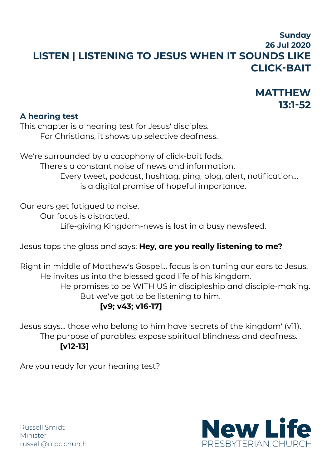## **Sunday 26 Jul 2020 LISTEN | LISTENING TO JESUS WHEN IT SOUNDS LIKE CLICK-BAIT**

# **MATTHEW 13:1-52**

#### **A hearing test**

This chapter is a hearing test for Jesus' disciples. For Christians, it shows up selective deafness.

We're surrounded by a cacophony of click-bait fads. There's a constant noise of news and information. Every tweet, podcast, hashtag, ping, blog, alert, notification… is a digital promise of hopeful importance.

Our ears get fatigued to noise.

Our focus is distracted.

Life-giving Kingdom-news is lost in a busy newsfeed.

Jesus taps the glass and says: **Hey, are you really listening to me?**

Right in middle of Matthew's Gospel… focus is on tuning our ears to Jesus. He invites us into the blessed good life of his kingdom. He promises to be WITH US in discipleship and disciple-making.

But we've got to be listening to him.

### **[v9; v43; v16-17]**

Jesus says… those who belong to him have 'secrets of the kingdom' (v11). The purpose of parables: expose spiritual blindness and deafness. **[v12-13]**

Are you ready for your hearing test?



Russell Smidt Minister [russell@nlpc.church](mailto:russell@nlpc.church)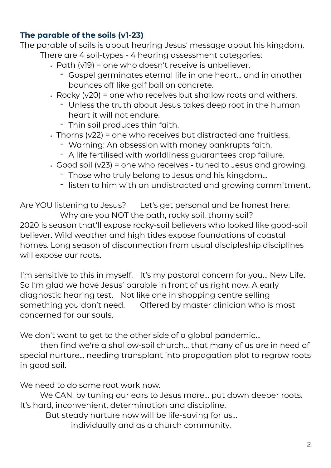#### **The parable of the soils (v1-23)**

The parable of soils is about hearing Jesus' message about his kingdom. There are 4 soil-types - 4 hearing assessment categories:

- Path (v19) = one who doesn't receive is unbeliever.
	- Gospel germinates eternal life in one heart… and in another bounces off like golf ball on concrete.
- Rocky (v20) = one who receives but shallow roots and withers.
	- Unless the truth about Jesus takes deep root in the human heart it will not endure.
	- Thin soil produces thin faith.
- Thorns (v22) = one who receives but distracted and fruitless.
	- Warning: An obsession with money bankrupts faith.
	- A life fertilised with worldliness guarantees crop failure.
- Good soil (v23) = one who receives tuned to Jesus and growing.
	- Those who truly belong to Jesus and his kingdom…
	- listen to him with an undistracted and growing commitment.

Are YOU listening to Jesus? Let's get personal and be honest here: Why are you NOT the path, rocky soil, thorny soil?

2020 is season that'll expose rocky-soil believers who looked like good-soil believer. Wild weather and high tides expose foundations of coastal homes. Long season of disconnection from usual discipleship disciplines will expose our roots.

I'm sensitive to this in myself. It's my pastoral concern for you... New Life. So I'm glad we have Jesus' parable in front of us right now. A early diagnostic hearing test. Not like one in shopping centre selling something you don't need. Offered by master clinician who is most concerned for our souls.

We don't want to get to the other side of a global pandemic…

 then find we're a shallow-soil church… that many of us are in need of special nurture… needing transplant into propagation plot to regrow roots in good soil.

We need to do some root work now.

 We CAN, by tuning our ears to Jesus more… put down deeper roots. It's hard, inconvenient, determination and discipline.

But steady nurture now will be life-saving for us…

individually and as a church community.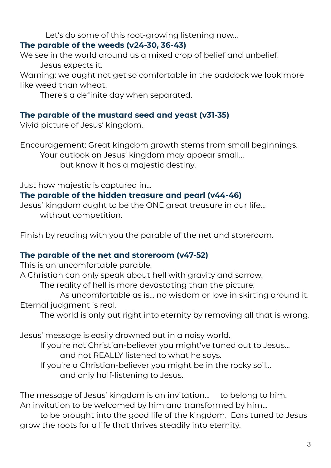Let's do some of this root-growing listening now…

#### **The parable of the weeds (v24-30, 36-43)**

We see in the world around us a mixed crop of belief and unbelief. Jesus expects it.

Warning: we ought not get so comfortable in the paddock we look more like weed than wheat.

There's a definite day when separated.

### **The parable of the mustard seed and yeast (v31-35)**

Vivid picture of Jesus' kingdom.

Encouragement: Great kingdom growth stems from small beginnings. Your outlook on Jesus' kingdom may appear small… but know it has a majestic destiny.

Just how majestic is captured in…

#### **The parable of the hidden treasure and pearl (v44-46)**

Jesus' kingdom ought to be the ONE great treasure in our life… without competition.

Finish by reading with you the parable of the net and storeroom.

### **The parable of the net and storeroom (v47-52)**

This is an uncomfortable parable.

A Christian can only speak about hell with gravity and sorrow.

The reality of hell is more devastating than the picture.

 As uncomfortable as is… no wisdom or love in skirting around it. Eternal judgment is real.

The world is only put right into eternity by removing all that is wrong.

Jesus' message is easily drowned out in a noisy world.

 If you're not Christian-believer you might've tuned out to Jesus… and not REALLY listened to what he says. If you're a Christian-believer you might be in the rocky soil…

and only half-listening to Jesus.

The message of Jesus' kingdom is an invitation… to belong to him. An invitation to be welcomed by him and transformed by him…

 to be brought into the good life of the kingdom. Ears tuned to Jesus grow the roots for a life that thrives steadily into eternity.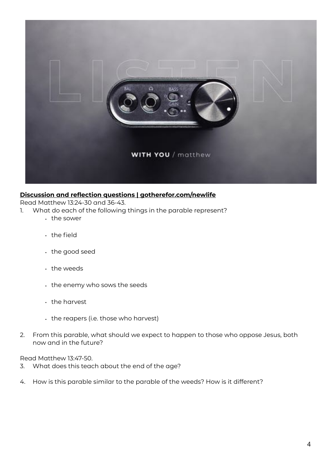

#### **Discussion and reflection questions | gotherefor.com/newlife**

Read Matthew 13:24-30 and 36-43.

- 1. What do each of the following things in the parable represent?
	- the sower
	- the field
	- the good seed
	- the weeds
	- the enemy who sows the seeds
	- the harvest
	- the reapers (i.e. those who harvest)
- 2. From this parable, what should we expect to happen to those who oppose Jesus, both now and in the future?

Read Matthew 13:47-50.

- 3. What does this teach about the end of the age?
- 4. How is this parable similar to the parable of the weeds? How is it different?